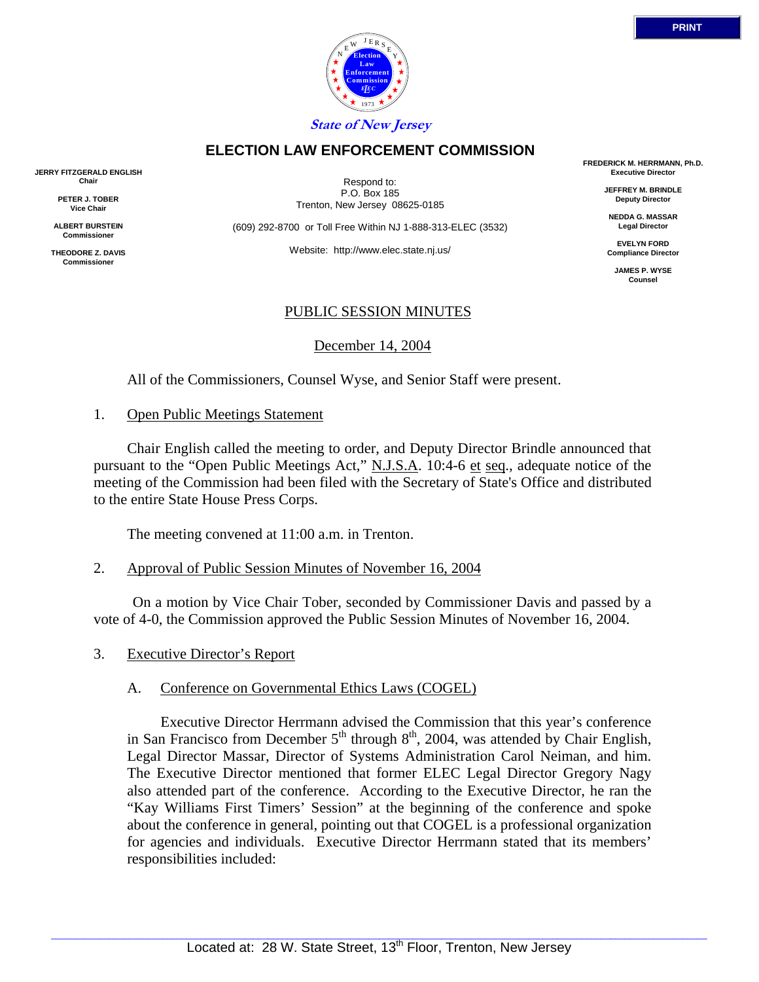

# **ELECTION LAW ENFORCEMENT COMMISSION**

**JERRY FITZGERALD ENGLISH Chair**

> **PETER J. TOBER Vice Chair**

**ALBERT BURSTEIN Commissioner** 

**THEODORE Z. DAVIS Commissione** 

Respond to: P.O. Box 185 Trenton, New Jersey 08625-0185

(609) 292-8700 or Toll Free Within NJ 1-888-313-ELEC (3532)

Website: http://www.elec.state.nj.us/

### PUBLIC SESSION MINUTES

December 14, 2004

All of the Commissioners, Counsel Wyse, and Senior Staff were present.

### 1. Open Public Meetings Statement

 Chair English called the meeting to order, and Deputy Director Brindle announced that pursuant to the "Open Public Meetings Act," N.J.S.A. 10:4-6 et seq., adequate notice of the meeting of the Commission had been filed with the Secretary of State's Office and distributed to the entire State House Press Corps.

The meeting convened at 11:00 a.m. in Trenton.

2. Approval of Public Session Minutes of November 16, 2004

 On a motion by Vice Chair Tober, seconded by Commissioner Davis and passed by a vote of 4-0, the Commission approved the Public Session Minutes of November 16, 2004.

3. Executive Director's Report

## A. Conference on Governmental Ethics Laws (COGEL)

 Executive Director Herrmann advised the Commission that this year's conference in San Francisco from December  $5<sup>th</sup>$  through  $8<sup>th</sup>$ , 2004, was attended by Chair English, Legal Director Massar, Director of Systems Administration Carol Neiman, and him. The Executive Director mentioned that former ELEC Legal Director Gregory Nagy also attended part of the conference. According to the Executive Director, he ran the "Kay Williams First Timers' Session" at the beginning of the conference and spoke about the conference in general, pointing out that COGEL is a professional organization for agencies and individuals. Executive Director Herrmann stated that its members' responsibilities included:

**FREDERICK M. HERRMANN, Ph.D. Executive Director**

> **JEFFREY M. BRINDLE Deputy Director**

**NEDDA G. MASSAR Legal Director**

**EVELYN FORD Compliance Director**

**JAMES P. WYSE Counsel**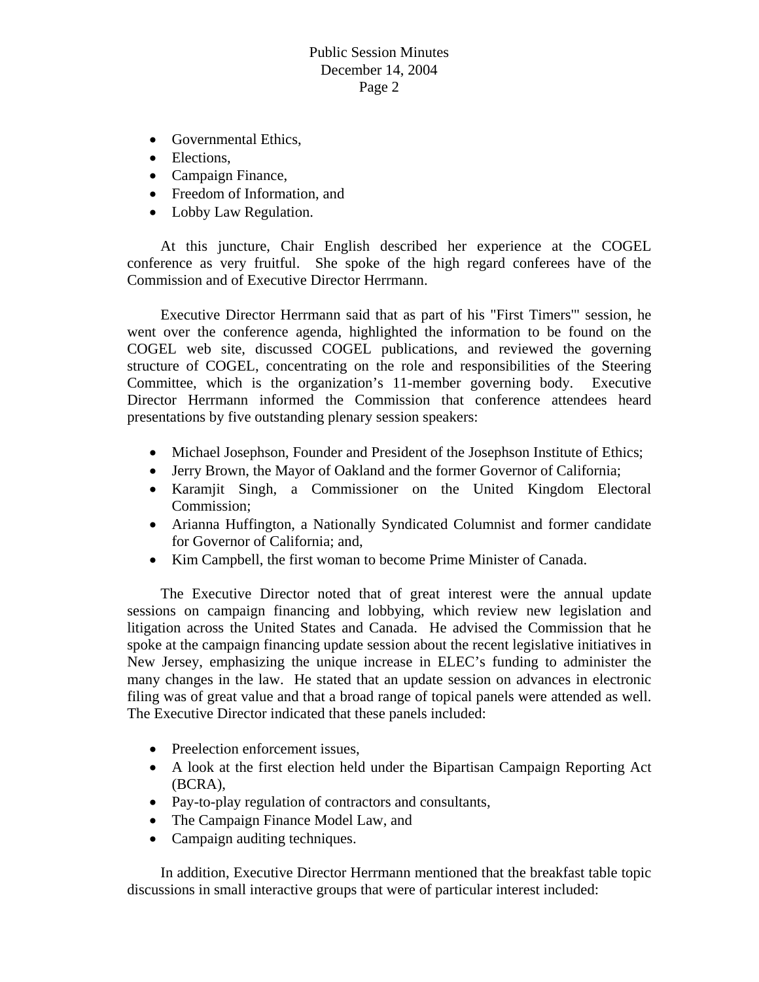- Governmental Ethics,
- Elections,
- Campaign Finance,
- Freedom of Information, and
- Lobby Law Regulation.

 At this juncture, Chair English described her experience at the COGEL conference as very fruitful. She spoke of the high regard conferees have of the Commission and of Executive Director Herrmann.

 Executive Director Herrmann said that as part of his "First Timers'" session, he went over the conference agenda, highlighted the information to be found on the COGEL web site, discussed COGEL publications, and reviewed the governing structure of COGEL, concentrating on the role and responsibilities of the Steering Committee, which is the organization's 11-member governing body. Executive Director Herrmann informed the Commission that conference attendees heard presentations by five outstanding plenary session speakers:

- Michael Josephson, Founder and President of the Josephson Institute of Ethics;
- Jerry Brown, the Mayor of Oakland and the former Governor of California;
- Karamjit Singh, a Commissioner on the United Kingdom Electoral Commission;
- Arianna Huffington, a Nationally Syndicated Columnist and former candidate for Governor of California; and,
- Kim Campbell, the first woman to become Prime Minister of Canada.

 The Executive Director noted that of great interest were the annual update sessions on campaign financing and lobbying, which review new legislation and litigation across the United States and Canada. He advised the Commission that he spoke at the campaign financing update session about the recent legislative initiatives in New Jersey, emphasizing the unique increase in ELEC's funding to administer the many changes in the law. He stated that an update session on advances in electronic filing was of great value and that a broad range of topical panels were attended as well. The Executive Director indicated that these panels included:

- Preelection enforcement issues,
- A look at the first election held under the Bipartisan Campaign Reporting Act (BCRA),
- Pay-to-play regulation of contractors and consultants,
- The Campaign Finance Model Law, and
- Campaign auditing techniques.

 In addition, Executive Director Herrmann mentioned that the breakfast table topic discussions in small interactive groups that were of particular interest included: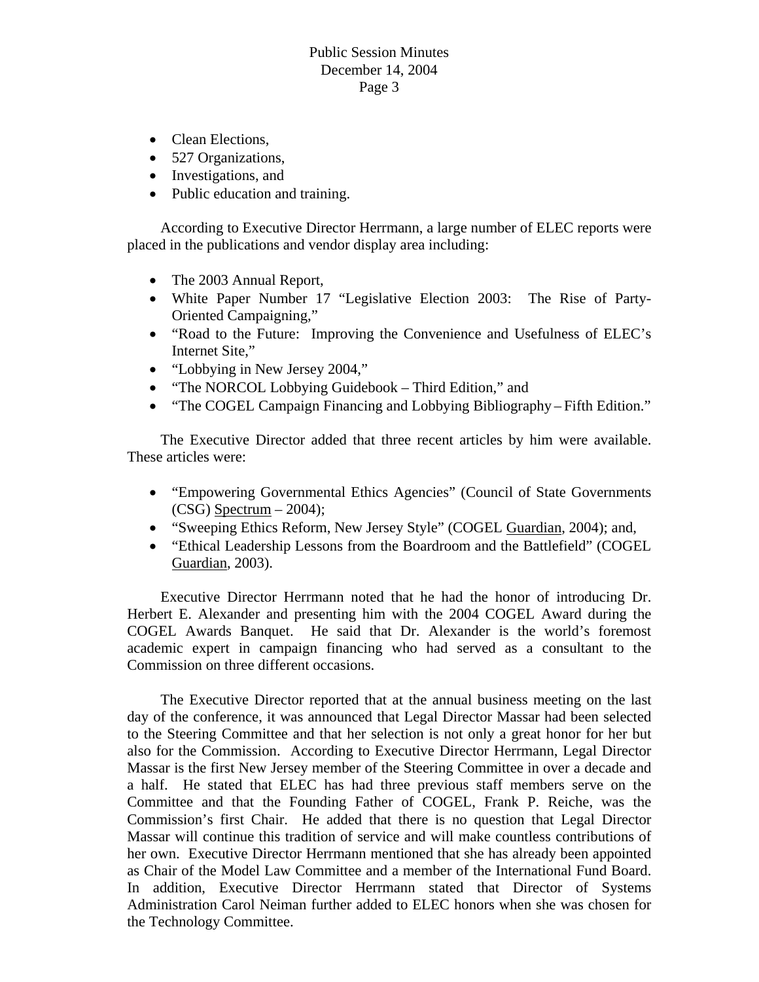- Clean Elections.
- 527 Organizations,
- Investigations, and
- Public education and training.

 According to Executive Director Herrmann, a large number of ELEC reports were placed in the publications and vendor display area including:

- The 2003 Annual Report,
- White Paper Number 17 "Legislative Election 2003: The Rise of Party-Oriented Campaigning,"
- "Road to the Future: Improving the Convenience and Usefulness of ELEC's Internet Site,"
- "Lobbying in New Jersey 2004,"
- "The NORCOL Lobbying Guidebook Third Edition," and
- "The COGEL Campaign Financing and Lobbying Bibliography Fifth Edition."

 The Executive Director added that three recent articles by him were available. These articles were:

- "Empowering Governmental Ethics Agencies" (Council of State Governments  $(CSG)$  Spectrum – 2004);
- "Sweeping Ethics Reform, New Jersey Style" (COGEL Guardian, 2004); and,
- "Ethical Leadership Lessons from the Boardroom and the Battlefield" (COGEL Guardian, 2003).

 Executive Director Herrmann noted that he had the honor of introducing Dr. Herbert E. Alexander and presenting him with the 2004 COGEL Award during the COGEL Awards Banquet. He said that Dr. Alexander is the world's foremost academic expert in campaign financing who had served as a consultant to the Commission on three different occasions.

 The Executive Director reported that at the annual business meeting on the last day of the conference, it was announced that Legal Director Massar had been selected to the Steering Committee and that her selection is not only a great honor for her but also for the Commission. According to Executive Director Herrmann, Legal Director Massar is the first New Jersey member of the Steering Committee in over a decade and a half. He stated that ELEC has had three previous staff members serve on the Committee and that the Founding Father of COGEL, Frank P. Reiche, was the Commission's first Chair. He added that there is no question that Legal Director Massar will continue this tradition of service and will make countless contributions of her own. Executive Director Herrmann mentioned that she has already been appointed as Chair of the Model Law Committee and a member of the International Fund Board. In addition, Executive Director Herrmann stated that Director of Systems Administration Carol Neiman further added to ELEC honors when she was chosen for the Technology Committee.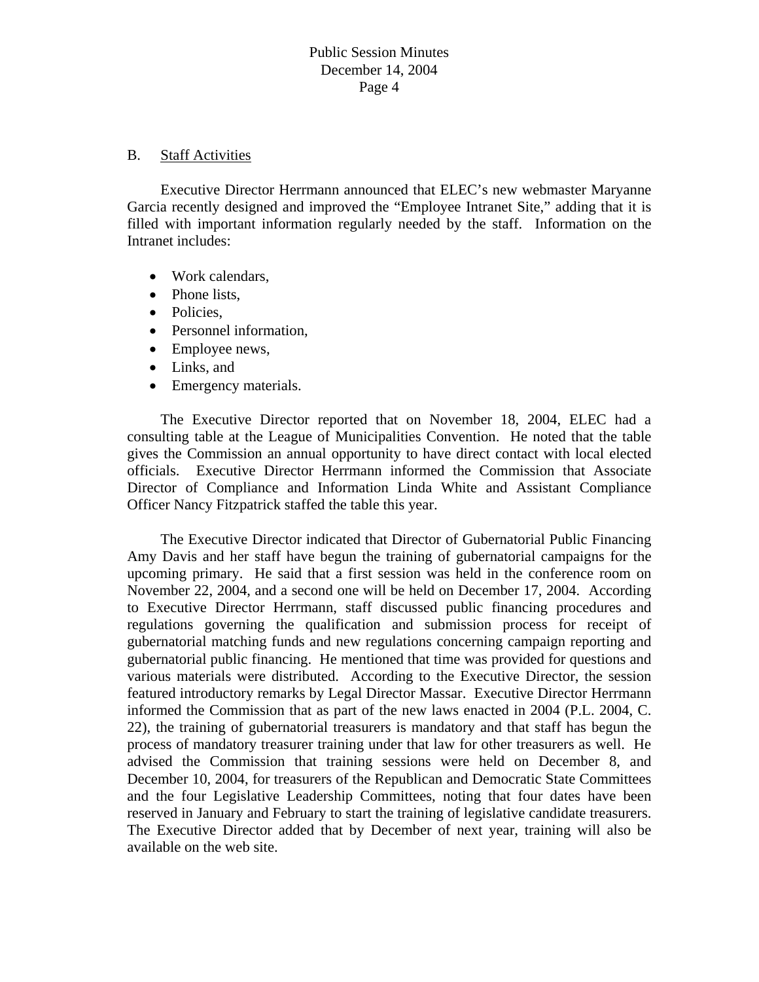# B. Staff Activities

 Executive Director Herrmann announced that ELEC's new webmaster Maryanne Garcia recently designed and improved the "Employee Intranet Site," adding that it is filled with important information regularly needed by the staff. Information on the Intranet includes:

- Work calendars,
- Phone lists.
- Policies.
- Personnel information.
- Employee news,
- Links, and
- Emergency materials.

 The Executive Director reported that on November 18, 2004, ELEC had a consulting table at the League of Municipalities Convention. He noted that the table gives the Commission an annual opportunity to have direct contact with local elected officials. Executive Director Herrmann informed the Commission that Associate Director of Compliance and Information Linda White and Assistant Compliance Officer Nancy Fitzpatrick staffed the table this year.

 The Executive Director indicated that Director of Gubernatorial Public Financing Amy Davis and her staff have begun the training of gubernatorial campaigns for the upcoming primary. He said that a first session was held in the conference room on November 22, 2004, and a second one will be held on December 17, 2004. According to Executive Director Herrmann, staff discussed public financing procedures and regulations governing the qualification and submission process for receipt of gubernatorial matching funds and new regulations concerning campaign reporting and gubernatorial public financing. He mentioned that time was provided for questions and various materials were distributed. According to the Executive Director, the session featured introductory remarks by Legal Director Massar. Executive Director Herrmann informed the Commission that as part of the new laws enacted in 2004 (P.L. 2004, C. 22), the training of gubernatorial treasurers is mandatory and that staff has begun the process of mandatory treasurer training under that law for other treasurers as well. He advised the Commission that training sessions were held on December 8, and December 10, 2004, for treasurers of the Republican and Democratic State Committees and the four Legislative Leadership Committees, noting that four dates have been reserved in January and February to start the training of legislative candidate treasurers. The Executive Director added that by December of next year, training will also be available on the web site.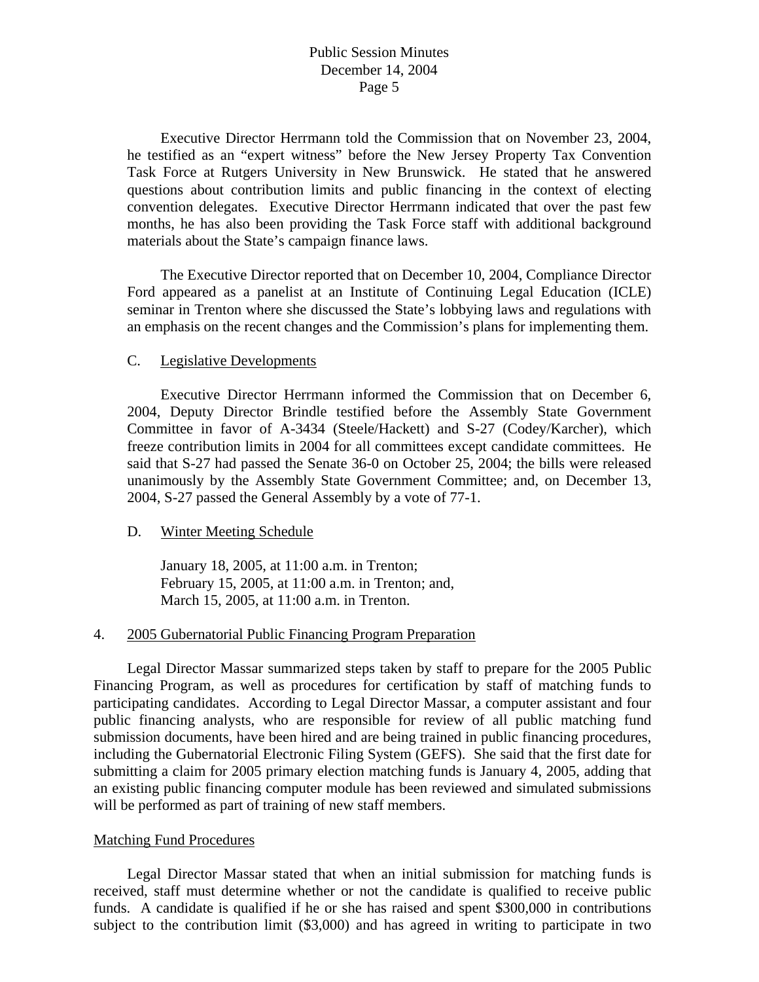Executive Director Herrmann told the Commission that on November 23, 2004, he testified as an "expert witness" before the New Jersey Property Tax Convention Task Force at Rutgers University in New Brunswick. He stated that he answered questions about contribution limits and public financing in the context of electing convention delegates. Executive Director Herrmann indicated that over the past few months, he has also been providing the Task Force staff with additional background materials about the State's campaign finance laws.

 The Executive Director reported that on December 10, 2004, Compliance Director Ford appeared as a panelist at an Institute of Continuing Legal Education (ICLE) seminar in Trenton where she discussed the State's lobbying laws and regulations with an emphasis on the recent changes and the Commission's plans for implementing them.

### C. Legislative Developments

 Executive Director Herrmann informed the Commission that on December 6, 2004, Deputy Director Brindle testified before the Assembly State Government Committee in favor of A-3434 (Steele/Hackett) and S-27 (Codey/Karcher), which freeze contribution limits in 2004 for all committees except candidate committees. He said that S-27 had passed the Senate 36-0 on October 25, 2004; the bills were released unanimously by the Assembly State Government Committee; and, on December 13, 2004, S-27 passed the General Assembly by a vote of 77-1.

### D. Winter Meeting Schedule

 January 18, 2005, at 11:00 a.m. in Trenton; February 15, 2005, at 11:00 a.m. in Trenton; and, March 15, 2005, at 11:00 a.m. in Trenton.

### 4. 2005 Gubernatorial Public Financing Program Preparation

 Legal Director Massar summarized steps taken by staff to prepare for the 2005 Public Financing Program, as well as procedures for certification by staff of matching funds to participating candidates. According to Legal Director Massar, a computer assistant and four public financing analysts, who are responsible for review of all public matching fund submission documents, have been hired and are being trained in public financing procedures, including the Gubernatorial Electronic Filing System (GEFS). She said that the first date for submitting a claim for 2005 primary election matching funds is January 4, 2005, adding that an existing public financing computer module has been reviewed and simulated submissions will be performed as part of training of new staff members.

### Matching Fund Procedures

 Legal Director Massar stated that when an initial submission for matching funds is received, staff must determine whether or not the candidate is qualified to receive public funds. A candidate is qualified if he or she has raised and spent \$300,000 in contributions subject to the contribution limit (\$3,000) and has agreed in writing to participate in two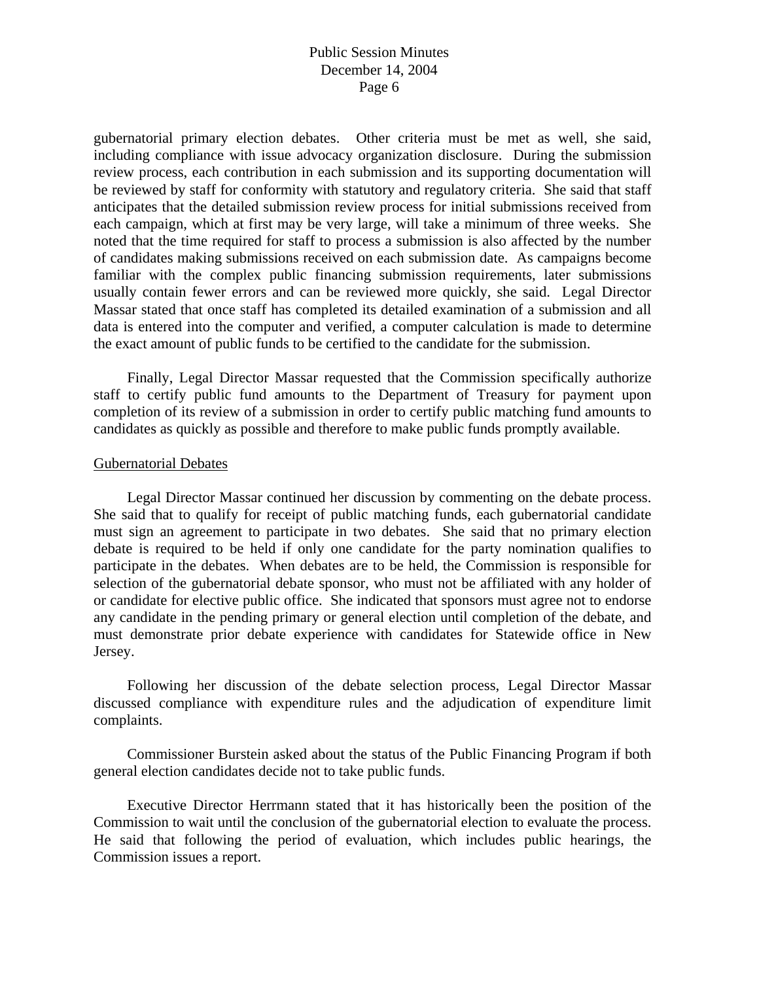gubernatorial primary election debates. Other criteria must be met as well, she said, including compliance with issue advocacy organization disclosure. During the submission review process, each contribution in each submission and its supporting documentation will be reviewed by staff for conformity with statutory and regulatory criteria. She said that staff anticipates that the detailed submission review process for initial submissions received from each campaign, which at first may be very large, will take a minimum of three weeks. She noted that the time required for staff to process a submission is also affected by the number of candidates making submissions received on each submission date. As campaigns become familiar with the complex public financing submission requirements, later submissions usually contain fewer errors and can be reviewed more quickly, she said. Legal Director Massar stated that once staff has completed its detailed examination of a submission and all data is entered into the computer and verified, a computer calculation is made to determine the exact amount of public funds to be certified to the candidate for the submission.

 Finally, Legal Director Massar requested that the Commission specifically authorize staff to certify public fund amounts to the Department of Treasury for payment upon completion of its review of a submission in order to certify public matching fund amounts to candidates as quickly as possible and therefore to make public funds promptly available.

### Gubernatorial Debates

 Legal Director Massar continued her discussion by commenting on the debate process. She said that to qualify for receipt of public matching funds, each gubernatorial candidate must sign an agreement to participate in two debates. She said that no primary election debate is required to be held if only one candidate for the party nomination qualifies to participate in the debates. When debates are to be held, the Commission is responsible for selection of the gubernatorial debate sponsor, who must not be affiliated with any holder of or candidate for elective public office. She indicated that sponsors must agree not to endorse any candidate in the pending primary or general election until completion of the debate, and must demonstrate prior debate experience with candidates for Statewide office in New Jersey.

 Following her discussion of the debate selection process, Legal Director Massar discussed compliance with expenditure rules and the adjudication of expenditure limit complaints.

 Commissioner Burstein asked about the status of the Public Financing Program if both general election candidates decide not to take public funds.

 Executive Director Herrmann stated that it has historically been the position of the Commission to wait until the conclusion of the gubernatorial election to evaluate the process. He said that following the period of evaluation, which includes public hearings, the Commission issues a report.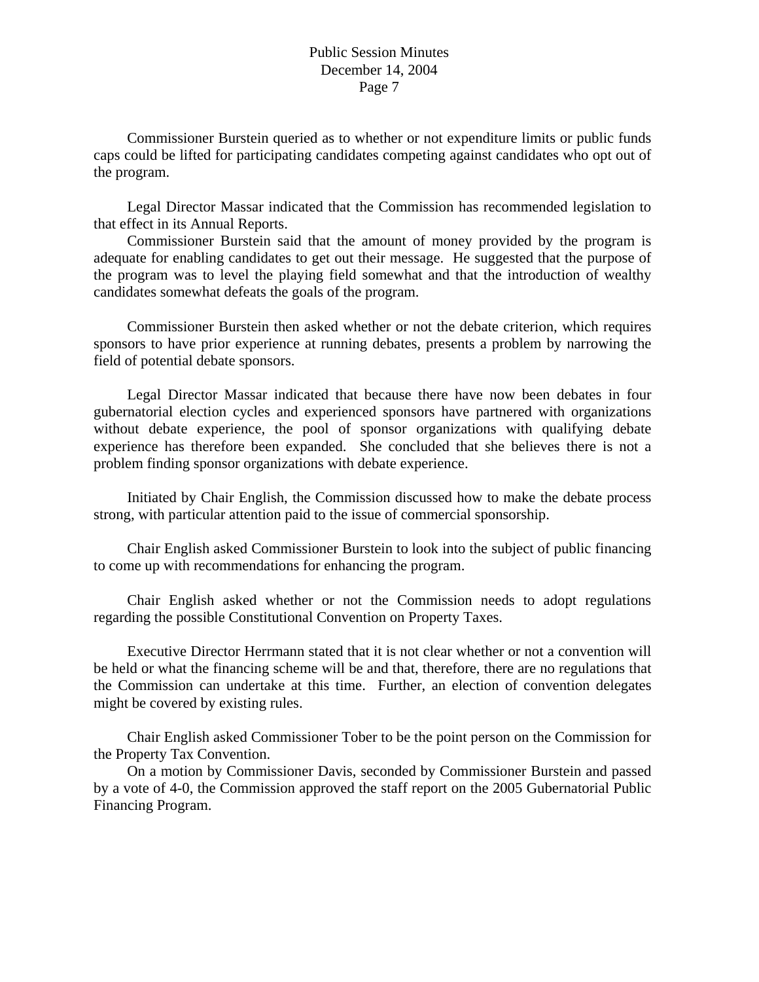Commissioner Burstein queried as to whether or not expenditure limits or public funds caps could be lifted for participating candidates competing against candidates who opt out of the program.

 Legal Director Massar indicated that the Commission has recommended legislation to that effect in its Annual Reports.

 Commissioner Burstein said that the amount of money provided by the program is adequate for enabling candidates to get out their message. He suggested that the purpose of the program was to level the playing field somewhat and that the introduction of wealthy candidates somewhat defeats the goals of the program.

 Commissioner Burstein then asked whether or not the debate criterion, which requires sponsors to have prior experience at running debates, presents a problem by narrowing the field of potential debate sponsors.

 Legal Director Massar indicated that because there have now been debates in four gubernatorial election cycles and experienced sponsors have partnered with organizations without debate experience, the pool of sponsor organizations with qualifying debate experience has therefore been expanded. She concluded that she believes there is not a problem finding sponsor organizations with debate experience.

 Initiated by Chair English, the Commission discussed how to make the debate process strong, with particular attention paid to the issue of commercial sponsorship.

 Chair English asked Commissioner Burstein to look into the subject of public financing to come up with recommendations for enhancing the program.

 Chair English asked whether or not the Commission needs to adopt regulations regarding the possible Constitutional Convention on Property Taxes.

 Executive Director Herrmann stated that it is not clear whether or not a convention will be held or what the financing scheme will be and that, therefore, there are no regulations that the Commission can undertake at this time. Further, an election of convention delegates might be covered by existing rules.

 Chair English asked Commissioner Tober to be the point person on the Commission for the Property Tax Convention.

 On a motion by Commissioner Davis, seconded by Commissioner Burstein and passed by a vote of 4-0, the Commission approved the staff report on the 2005 Gubernatorial Public Financing Program.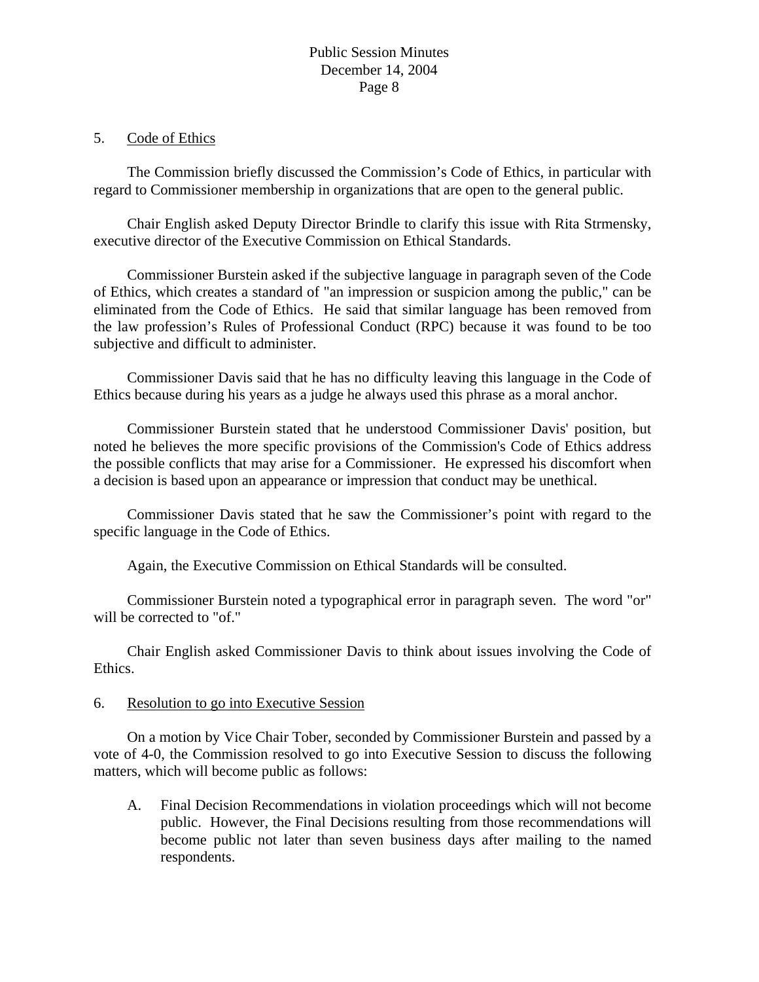### 5. Code of Ethics

 The Commission briefly discussed the Commission's Code of Ethics, in particular with regard to Commissioner membership in organizations that are open to the general public.

 Chair English asked Deputy Director Brindle to clarify this issue with Rita Strmensky, executive director of the Executive Commission on Ethical Standards.

 Commissioner Burstein asked if the subjective language in paragraph seven of the Code of Ethics, which creates a standard of "an impression or suspicion among the public," can be eliminated from the Code of Ethics. He said that similar language has been removed from the law profession's Rules of Professional Conduct (RPC) because it was found to be too subjective and difficult to administer.

 Commissioner Davis said that he has no difficulty leaving this language in the Code of Ethics because during his years as a judge he always used this phrase as a moral anchor.

 Commissioner Burstein stated that he understood Commissioner Davis' position, but noted he believes the more specific provisions of the Commission's Code of Ethics address the possible conflicts that may arise for a Commissioner. He expressed his discomfort when a decision is based upon an appearance or impression that conduct may be unethical.

 Commissioner Davis stated that he saw the Commissioner's point with regard to the specific language in the Code of Ethics.

Again, the Executive Commission on Ethical Standards will be consulted.

 Commissioner Burstein noted a typographical error in paragraph seven. The word "or" will be corrected to "of."

 Chair English asked Commissioner Davis to think about issues involving the Code of Ethics.

## 6. Resolution to go into Executive Session

 On a motion by Vice Chair Tober, seconded by Commissioner Burstein and passed by a vote of 4-0, the Commission resolved to go into Executive Session to discuss the following matters, which will become public as follows:

A. Final Decision Recommendations in violation proceedings which will not become public. However, the Final Decisions resulting from those recommendations will become public not later than seven business days after mailing to the named respondents.